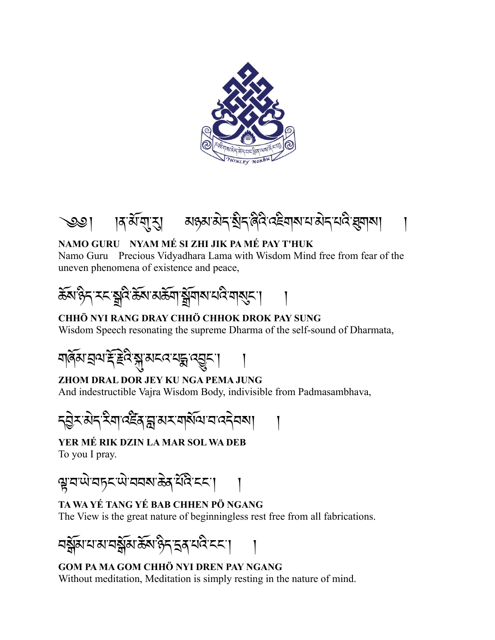



## **NAMO GURU NYAM MÉ SI ZHI JIK PA MÉ PAY T'HUK**

Namo Guru Precious Vidyadhara Lama with Wisdom Mind free from fear of the uneven phenomena of existence and peace,

$$
\widetilde{\mathfrak{F}}_{\mathcal{A}} \mathfrak{F}_{\mathcal{A}} \cap \mathfrak{F}_{\mathcal{A}} \cap \mathfrak{F}_{\mathcal{A}} \cap \mathfrak{F}_{\mathcal{A}} \cap \mathfrak{F}_{\mathcal{A}} \cap \mathfrak{F}_{\mathcal{A}} \cap \mathfrak{F}_{\mathcal{A}} \cap \mathfrak{F}_{\mathcal{A}} \cap \mathfrak{F}_{\mathcal{A}} \cap \mathfrak{F}_{\mathcal{A}} \cap \mathfrak{F}_{\mathcal{A}} \cap \mathfrak{F}_{\mathcal{A}} \cap \mathfrak{F}_{\mathcal{A}} \cap \mathfrak{F}_{\mathcal{A}} \cap \mathfrak{F}_{\mathcal{A}} \cap \mathfrak{F}_{\mathcal{A}} \cap \mathfrak{F}_{\mathcal{A}} \cap \mathfrak{F}_{\mathcal{A}} \cap \mathfrak{F}_{\mathcal{A}} \cap \mathfrak{F}_{\mathcal{A}} \cap \mathfrak{F}_{\mathcal{A}} \cap \mathfrak{F}_{\mathcal{A}} \cap \mathfrak{F}_{\mathcal{A}} \cap \mathfrak{F}_{\mathcal{A}} \cap \mathfrak{F}_{\mathcal{A}} \cap \mathfrak{F}_{\mathcal{A}} \cap \mathfrak{F}_{\mathcal{A}} \cap \mathfrak{F}_{\mathcal{A}} \cap \mathfrak{F}_{\mathcal{A}} \cap \mathfrak{F}_{\mathcal{A}} \cap \mathfrak{F}_{\mathcal{A}} \cap \mathfrak{F}_{\mathcal{A}} \cap \mathfrak{F}_{\mathcal{A}} \cap \mathfrak{F}_{\mathcal{A}} \cap \mathfrak{F}_{\mathcal{A}} \cap \mathfrak{F}_{\mathcal{A}} \cap \mathfrak{F}_{\mathcal{A}} \cap \mathfrak{F}_{\mathcal{A}} \cap \mathfrak{F}_{\mathcal{A}} \cap \mathfrak{F}_{\mathcal{A}} \cap \mathfrak{F}_{\mathcal{A}} \cap \mathfrak{F}_{\mathcal{A}} \cap \mathfrak{F}_{\mathcal{A}} \cap \mathfrak{F}_{\mathcal{A}} \cap \mathfrak{F}_{\mathcal{A}} \cap \mathfrak{F}_{\mathcal{A}} \cap \mathfrak{F}_{\mathcal{A}} \cap \mathfrak{F}_{\mathcal{A}} \cap \mathfrak{F}_{\mathcal{A}} \cap \mathfrak{F}_{
$$

## **CHHÖ NYI RANG DRAY CHHÖ CHHOK DROK PAY SUNG**

Wisdom Speech resonating the supreme Dharma of the self-sound of Dharmata,



**ZHOM DRAL DOR JEY KU NGA PEMA JUNG** And indestructible Vajra Wisdom Body, indivisible from Padmasambhava,

$$
\frac{1}{\sqrt{2}}\frac{1}{\sqrt{2}}\frac{1}{\sqrt{2}}\frac{1}{\sqrt{2}}\frac{1}{\sqrt{2}}\frac{1}{\sqrt{2}}\frac{1}{\sqrt{2}}\frac{1}{\sqrt{2}}\frac{1}{\sqrt{2}}\frac{1}{\sqrt{2}}\frac{1}{\sqrt{2}}\frac{1}{\sqrt{2}}\frac{1}{\sqrt{2}}\frac{1}{\sqrt{2}}\frac{1}{\sqrt{2}}\frac{1}{\sqrt{2}}\frac{1}{\sqrt{2}}\frac{1}{\sqrt{2}}\frac{1}{\sqrt{2}}\frac{1}{\sqrt{2}}\frac{1}{\sqrt{2}}\frac{1}{\sqrt{2}}\frac{1}{\sqrt{2}}\frac{1}{\sqrt{2}}\frac{1}{\sqrt{2}}\frac{1}{\sqrt{2}}\frac{1}{\sqrt{2}}\frac{1}{\sqrt{2}}\frac{1}{\sqrt{2}}\frac{1}{\sqrt{2}}\frac{1}{\sqrt{2}}\frac{1}{\sqrt{2}}\frac{1}{\sqrt{2}}\frac{1}{\sqrt{2}}\frac{1}{\sqrt{2}}\frac{1}{\sqrt{2}}\frac{1}{\sqrt{2}}\frac{1}{\sqrt{2}}\frac{1}{\sqrt{2}}\frac{1}{\sqrt{2}}\frac{1}{\sqrt{2}}\frac{1}{\sqrt{2}}\frac{1}{\sqrt{2}}\frac{1}{\sqrt{2}}\frac{1}{\sqrt{2}}\frac{1}{\sqrt{2}}\frac{1}{\sqrt{2}}\frac{1}{\sqrt{2}}\frac{1}{\sqrt{2}}\frac{1}{\sqrt{2}}\frac{1}{\sqrt{2}}\frac{1}{\sqrt{2}}\frac{1}{\sqrt{2}}\frac{1}{\sqrt{2}}\frac{1}{\sqrt{2}}\frac{1}{\sqrt{2}}\frac{1}{\sqrt{2}}\frac{1}{\sqrt{2}}\frac{1}{\sqrt{2}}\frac{1}{\sqrt{2}}\frac{1}{\sqrt{2}}\frac{1}{\sqrt{2}}\frac{1}{\sqrt{2}}\frac{1}{\sqrt{2}}\frac{1}{\sqrt{2}}\frac{1}{\sqrt{2}}\frac{1}{\sqrt{2}}\frac{1}{\sqrt{2}}\frac{1}{\sqrt{2}}\frac{1}{\sqrt{2}}\frac{1}{\sqrt{2}}\frac{1}{\sqrt{2}}\frac{1}{\sqrt{2}}\frac{1}{\sqrt{2}}\frac{1}{\sqrt{2}}\frac{1}{\sqrt{2}}
$$

**YER MÉ RIK DZIN LA MAR SOL WA DEB** To you I pray.

ৠয়ঊ৸য়ঢ়ৼড়৻৸য়৸ৼ৻ড়৸ৼ৻৸৸৸৸

## **TA WA YÉ TANG YÉ BAB CHHEN PÖ NGANG**

The View is the great nature of beginningless rest free from all fabrications.



## **GOM PA MA GOM CHHÖ NYI DREN PAY NGANG** Without meditation, Meditation is simply resting in the nature of mind.